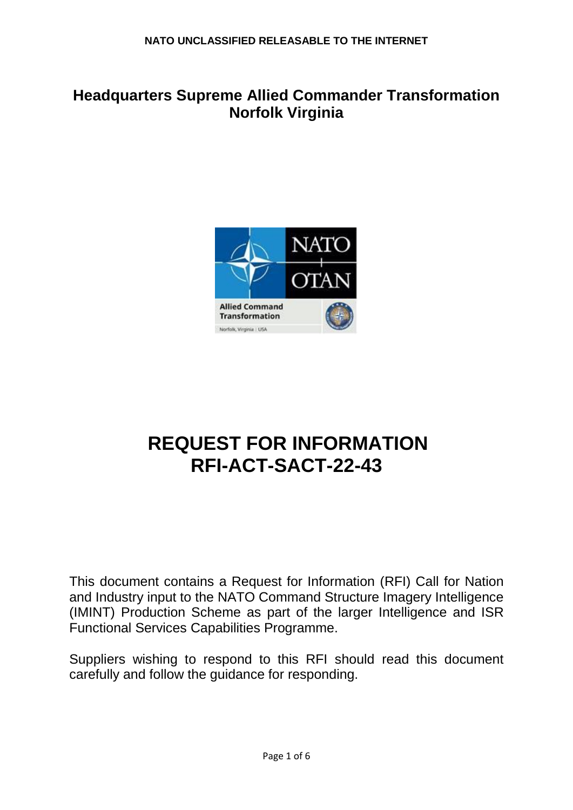# **Headquarters Supreme Allied Commander Transformation Norfolk Virginia**



# **REQUEST FOR INFORMATION RFI-ACT-SACT-22-43**

This document contains a Request for Information (RFI) Call for Nation and Industry input to the NATO Command Structure Imagery Intelligence (IMINT) Production Scheme as part of the larger Intelligence and ISR Functional Services Capabilities Programme.

Suppliers wishing to respond to this RFI should read this document carefully and follow the guidance for responding.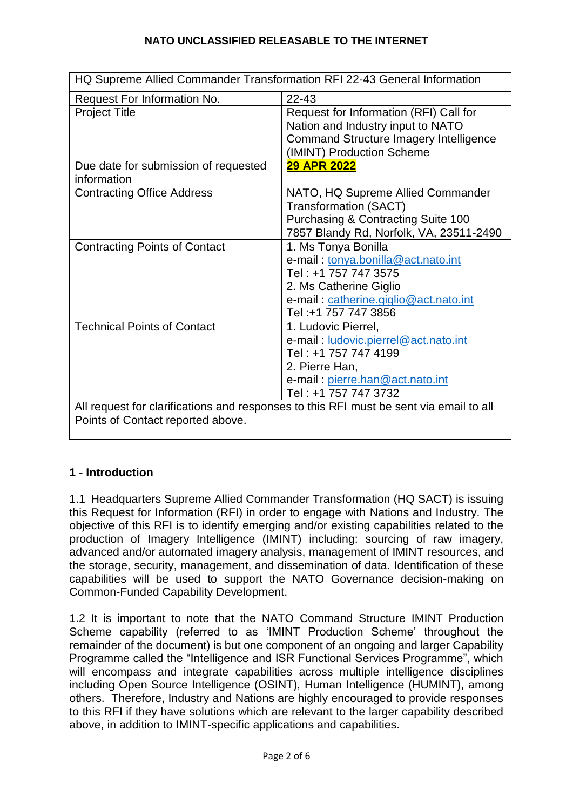| HQ Supreme Allied Commander Transformation RFI 22-43 General Information                                                    |                                                                                                                                                                              |
|-----------------------------------------------------------------------------------------------------------------------------|------------------------------------------------------------------------------------------------------------------------------------------------------------------------------|
| Request For Information No.                                                                                                 | 22-43                                                                                                                                                                        |
| <b>Project Title</b>                                                                                                        | Request for Information (RFI) Call for<br>Nation and Industry input to NATO<br><b>Command Structure Imagery Intelligence</b><br>(IMINT) Production Scheme                    |
| Due date for submission of requested<br>information                                                                         | <b>29 APR 2022</b>                                                                                                                                                           |
| <b>Contracting Office Address</b>                                                                                           | NATO, HQ Supreme Allied Commander<br><b>Transformation (SACT)</b><br><b>Purchasing &amp; Contracting Suite 100</b><br>7857 Blandy Rd, Norfolk, VA, 23511-2490                |
| <b>Contracting Points of Contact</b>                                                                                        | 1. Ms Tonya Bonilla<br>e-mail: tonya.bonilla@act.nato.int<br>Tel: +1 757 747 3575<br>2. Ms Catherine Giglio<br>e-mail: catherine.giglio@act.nato.int<br>Tel: +1 757 747 3856 |
| <b>Technical Points of Contact</b>                                                                                          | 1. Ludovic Pierrel,<br>e-mail: ludovic.pierrel@act.nato.int<br>Tel: +1 757 747 4199<br>2. Pierre Han,<br>e-mail: pierre.han@act.nato.int<br>Tel: +1 757 747 3732             |
| All request for clarifications and responses to this RFI must be sent via email to all<br>Points of Contact reported above. |                                                                                                                                                                              |

# **1 - Introduction**

1.1 Headquarters Supreme Allied Commander Transformation (HQ SACT) is issuing this Request for Information (RFI) in order to engage with Nations and Industry. The objective of this RFI is to identify emerging and/or existing capabilities related to the production of Imagery Intelligence (IMINT) including: sourcing of raw imagery, advanced and/or automated imagery analysis, management of IMINT resources, and the storage, security, management, and dissemination of data. Identification of these capabilities will be used to support the NATO Governance decision-making on Common-Funded Capability Development.

1.2 It is important to note that the NATO Command Structure IMINT Production Scheme capability (referred to as 'IMINT Production Scheme' throughout the remainder of the document) is but one component of an ongoing and larger Capability Programme called the "Intelligence and ISR Functional Services Programme", which will encompass and integrate capabilities across multiple intelligence disciplines including Open Source Intelligence (OSINT), Human Intelligence (HUMINT), among others. Therefore, Industry and Nations are highly encouraged to provide responses to this RFI if they have solutions which are relevant to the larger capability described above, in addition to IMINT-specific applications and capabilities.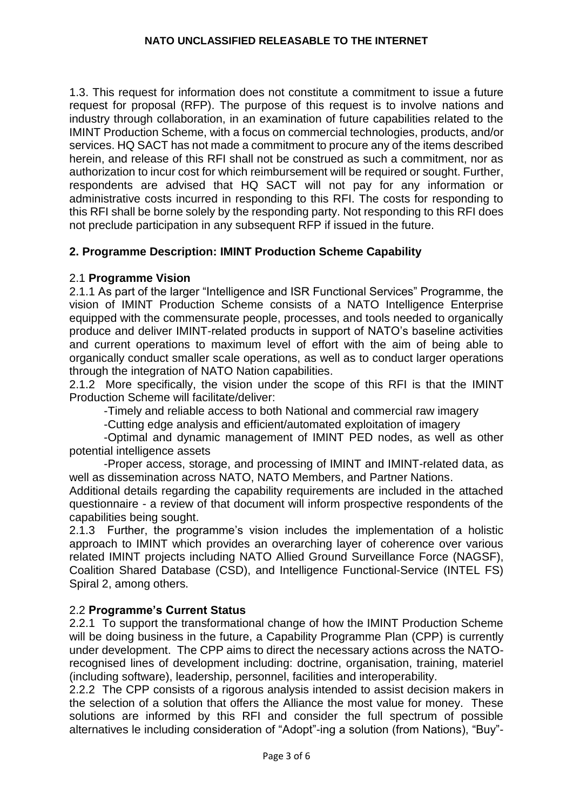1.3. This request for information does not constitute a commitment to issue a future request for proposal (RFP). The purpose of this request is to involve nations and industry through collaboration, in an examination of future capabilities related to the IMINT Production Scheme, with a focus on commercial technologies, products, and/or services. HQ SACT has not made a commitment to procure any of the items described herein, and release of this RFI shall not be construed as such a commitment, nor as authorization to incur cost for which reimbursement will be required or sought. Further, respondents are advised that HQ SACT will not pay for any information or administrative costs incurred in responding to this RFI. The costs for responding to this RFI shall be borne solely by the responding party. Not responding to this RFI does not preclude participation in any subsequent RFP if issued in the future.

# **2. Programme Description: IMINT Production Scheme Capability**

### 2.1 **Programme Vision**

2.1.1 As part of the larger "Intelligence and ISR Functional Services" Programme, the vision of IMINT Production Scheme consists of a NATO Intelligence Enterprise equipped with the commensurate people, processes, and tools needed to organically produce and deliver IMINT-related products in support of NATO's baseline activities and current operations to maximum level of effort with the aim of being able to organically conduct smaller scale operations, as well as to conduct larger operations through the integration of NATO Nation capabilities.

2.1.2 More specifically, the vision under the scope of this RFI is that the IMINT Production Scheme will facilitate/deliver:

-Timely and reliable access to both National and commercial raw imagery

-Cutting edge analysis and efficient/automated exploitation of imagery

-Optimal and dynamic management of IMINT PED nodes, as well as other potential intelligence assets

-Proper access, storage, and processing of IMINT and IMINT-related data, as well as dissemination across NATO, NATO Members, and Partner Nations.

Additional details regarding the capability requirements are included in the attached questionnaire - a review of that document will inform prospective respondents of the capabilities being sought.

2.1.3 Further, the programme's vision includes the implementation of a holistic approach to IMINT which provides an overarching layer of coherence over various related IMINT projects including NATO Allied Ground Surveillance Force (NAGSF), Coalition Shared Database (CSD), and Intelligence Functional-Service (INTEL FS) Spiral 2, among others.

#### 2.2 **Programme's Current Status**

2.2.1 To support the transformational change of how the IMINT Production Scheme will be doing business in the future, a Capability Programme Plan (CPP) is currently under development. The CPP aims to direct the necessary actions across the NATOrecognised lines of development including: doctrine, organisation, training, materiel (including software), leadership, personnel, facilities and interoperability.

2.2.2 The CPP consists of a rigorous analysis intended to assist decision makers in the selection of a solution that offers the Alliance the most value for money. These solutions are informed by this RFI and consider the full spectrum of possible alternatives le including consideration of "Adopt"-ing a solution (from Nations), "Buy"-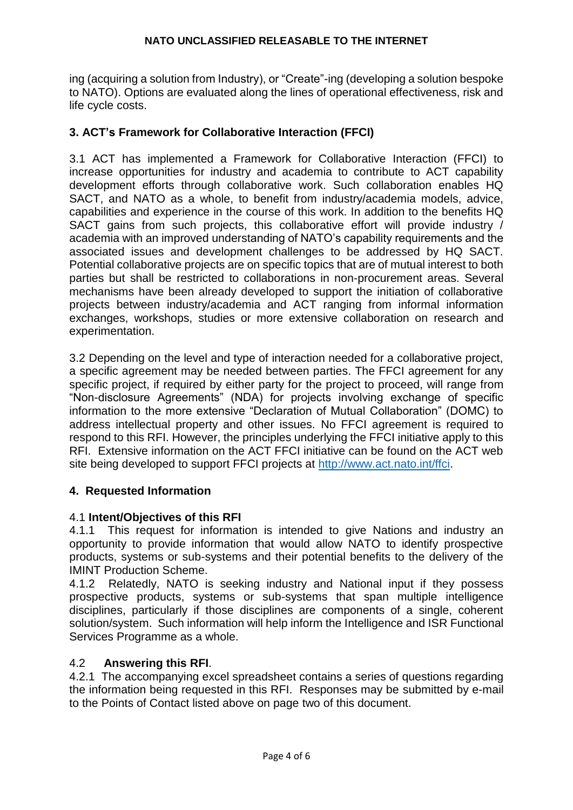ing (acquiring a solution from Industry), or "Create"-ing (developing a solution bespoke to NATO). Options are evaluated along the lines of operational effectiveness, risk and life cycle costs.

# **3. ACT's Framework for Collaborative Interaction (FFCI)**

3.1 ACT has implemented a Framework for Collaborative Interaction (FFCI) to increase opportunities for industry and academia to contribute to ACT capability development efforts through collaborative work. Such collaboration enables HQ SACT, and NATO as a whole, to benefit from industry/academia models, advice, capabilities and experience in the course of this work. In addition to the benefits HQ SACT gains from such projects, this collaborative effort will provide industry / academia with an improved understanding of NATO's capability requirements and the associated issues and development challenges to be addressed by HQ SACT. Potential collaborative projects are on specific topics that are of mutual interest to both parties but shall be restricted to collaborations in non-procurement areas. Several mechanisms have been already developed to support the initiation of collaborative projects between industry/academia and ACT ranging from informal information exchanges, workshops, studies or more extensive collaboration on research and experimentation.

3.2 Depending on the level and type of interaction needed for a collaborative project, a specific agreement may be needed between parties. The FFCI agreement for any specific project, if required by either party for the project to proceed, will range from "Non-disclosure Agreements" (NDA) for projects involving exchange of specific information to the more extensive "Declaration of Mutual Collaboration" (DOMC) to address intellectual property and other issues. No FFCI agreement is required to respond to this RFI. However, the principles underlying the FFCI initiative apply to this RFI. Extensive information on the ACT FFCI initiative can be found on the ACT web site being developed to support FFCI projects at [http://www.act.nato.int/ffci.](http://www.act.nato.int/ffci)

# **4. Requested Information**

#### 4.1 **Intent/Objectives of this RFI**

4.1.1 This request for information is intended to give Nations and industry an opportunity to provide information that would allow NATO to identify prospective products, systems or sub-systems and their potential benefits to the delivery of the IMINT Production Scheme.

4.1.2 Relatedly, NATO is seeking industry and National input if they possess prospective products, systems or sub-systems that span multiple intelligence disciplines, particularly if those disciplines are components of a single, coherent solution/system. Such information will help inform the Intelligence and ISR Functional Services Programme as a whole.

# 4.2 **Answering this RFI**.

4.2.1 The accompanying excel spreadsheet contains a series of questions regarding the information being requested in this RFI. Responses may be submitted by e-mail to the Points of Contact listed above on page two of this document.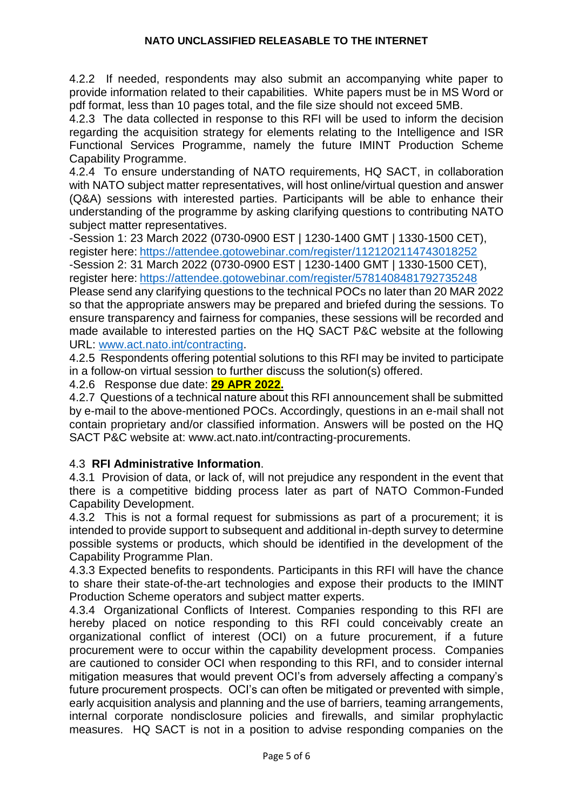#### **NATO UNCLASSIFIED RELEASABLE TO THE INTERNET**

4.2.2 If needed, respondents may also submit an accompanying white paper to provide information related to their capabilities. White papers must be in MS Word or pdf format, less than 10 pages total, and the file size should not exceed 5MB.

4.2.3 The data collected in response to this RFI will be used to inform the decision regarding the acquisition strategy for elements relating to the Intelligence and ISR Functional Services Programme, namely the future IMINT Production Scheme Capability Programme.

4.2.4 To ensure understanding of NATO requirements, HQ SACT, in collaboration with NATO subject matter representatives, will host online/virtual question and answer (Q&A) sessions with interested parties. Participants will be able to enhance their understanding of the programme by asking clarifying questions to contributing NATO subject matter representatives.

-Session 1: 23 March 2022 (0730-0900 EST | 1230-1400 GMT | 1330-1500 CET), register here: <https://attendee.gotowebinar.com/register/1121202114743018252>

-Session 2: 31 March 2022 (0730-0900 EST | 1230-1400 GMT | 1330-1500 CET), register here: <https://attendee.gotowebinar.com/register/5781408481792735248>

Please send any clarifying questions to the technical POCs no later than 20 MAR 2022 so that the appropriate answers may be prepared and briefed during the sessions. To ensure transparency and fairness for companies, these sessions will be recorded and made available to interested parties on the HQ SACT P&C website at the following URL: [www.act.nato.int/contracting.](http://www.act.nato.int/contracting)

4.2.5 Respondents offering potential solutions to this RFI may be invited to participate in a follow-on virtual session to further discuss the solution(s) offered.

4.2.6 Response due date: **29 APR 2022.**

4.2.7 Questions of a technical nature about this RFI announcement shall be submitted by e-mail to the above-mentioned POCs. Accordingly, questions in an e-mail shall not contain proprietary and/or classified information. Answers will be posted on the HQ SACT P&C website at: www.act.nato.int/contracting-procurements.

#### 4.3 **RFI Administrative Information**.

4.3.1 Provision of data, or lack of, will not prejudice any respondent in the event that there is a competitive bidding process later as part of NATO Common-Funded Capability Development.

4.3.2 This is not a formal request for submissions as part of a procurement; it is intended to provide support to subsequent and additional in-depth survey to determine possible systems or products, which should be identified in the development of the Capability Programme Plan.

4.3.3 Expected benefits to respondents. Participants in this RFI will have the chance to share their state-of-the-art technologies and expose their products to the IMINT Production Scheme operators and subject matter experts.

4.3.4 Organizational Conflicts of Interest. Companies responding to this RFI are hereby placed on notice responding to this RFI could conceivably create an organizational conflict of interest (OCI) on a future procurement, if a future procurement were to occur within the capability development process. Companies are cautioned to consider OCI when responding to this RFI, and to consider internal mitigation measures that would prevent OCI's from adversely affecting a company's future procurement prospects. OCI's can often be mitigated or prevented with simple, early acquisition analysis and planning and the use of barriers, teaming arrangements, internal corporate nondisclosure policies and firewalls, and similar prophylactic measures. HQ SACT is not in a position to advise responding companies on the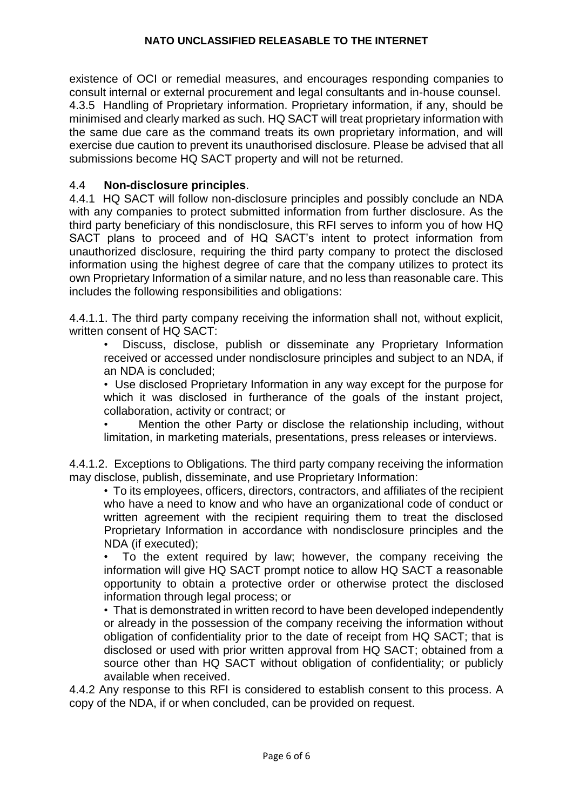existence of OCI or remedial measures, and encourages responding companies to consult internal or external procurement and legal consultants and in-house counsel. 4.3.5 Handling of Proprietary information. Proprietary information, if any, should be minimised and clearly marked as such. HQ SACT will treat proprietary information with the same due care as the command treats its own proprietary information, and will exercise due caution to prevent its unauthorised disclosure. Please be advised that all submissions become HQ SACT property and will not be returned.

#### 4.4 **Non-disclosure principles**.

4.4.1 HQ SACT will follow non-disclosure principles and possibly conclude an NDA with any companies to protect submitted information from further disclosure. As the third party beneficiary of this nondisclosure, this RFI serves to inform you of how HQ SACT plans to proceed and of HQ SACT's intent to protect information from unauthorized disclosure, requiring the third party company to protect the disclosed information using the highest degree of care that the company utilizes to protect its own Proprietary Information of a similar nature, and no less than reasonable care. This includes the following responsibilities and obligations:

4.4.1.1. The third party company receiving the information shall not, without explicit, written consent of HQ SACT:

• Discuss, disclose, publish or disseminate any Proprietary Information received or accessed under nondisclosure principles and subject to an NDA, if an NDA is concluded;

• Use disclosed Proprietary Information in any way except for the purpose for which it was disclosed in furtherance of the goals of the instant project, collaboration, activity or contract; or

• Mention the other Party or disclose the relationship including, without limitation, in marketing materials, presentations, press releases or interviews.

4.4.1.2. Exceptions to Obligations. The third party company receiving the information may disclose, publish, disseminate, and use Proprietary Information:

• To its employees, officers, directors, contractors, and affiliates of the recipient who have a need to know and who have an organizational code of conduct or written agreement with the recipient requiring them to treat the disclosed Proprietary Information in accordance with nondisclosure principles and the NDA (if executed);

• To the extent required by law; however, the company receiving the information will give HQ SACT prompt notice to allow HQ SACT a reasonable opportunity to obtain a protective order or otherwise protect the disclosed information through legal process; or

• That is demonstrated in written record to have been developed independently or already in the possession of the company receiving the information without obligation of confidentiality prior to the date of receipt from HQ SACT; that is disclosed or used with prior written approval from HQ SACT; obtained from a source other than HQ SACT without obligation of confidentiality; or publicly available when received.

4.4.2 Any response to this RFI is considered to establish consent to this process. A copy of the NDA, if or when concluded, can be provided on request.